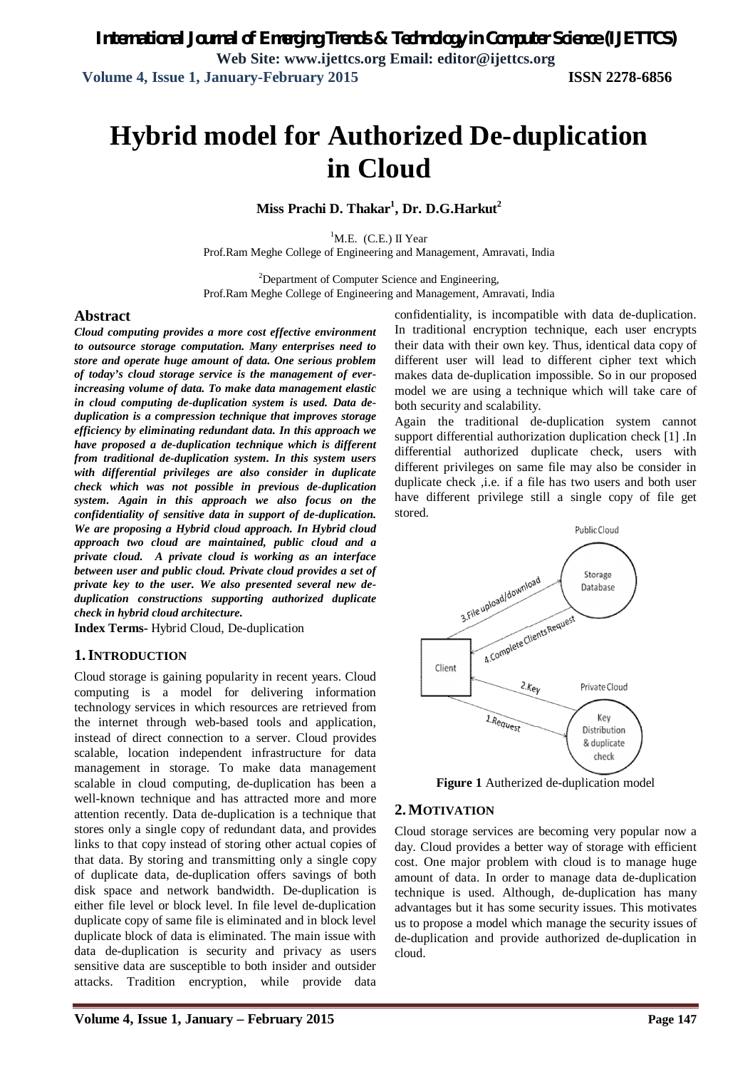# **Hybrid model for Authorized De-duplication in Cloud**

**Miss Prachi D. Thakar<sup>1</sup> , Dr. D.G.Harkut<sup>2</sup>**

 ${}^{1}$ M.E. (C.E.) II Year Prof.Ram Meghe College of Engineering and Management, Amravati, India

<sup>2</sup>Department of Computer Science and Engineering, Prof.Ram Meghe College of Engineering and Management, Amravati, India

### **Abstract**

*Cloud computing provides a more cost effective environment to outsource storage computation. Many enterprises need to store and operate huge amount of data. One serious problem of today's cloud storage service is the management of everincreasing volume of data. To make data management elastic in cloud computing de-duplication system is used. Data deduplication is a compression technique that improves storage efficiency by eliminating redundant data. In this approach we have proposed a de-duplication technique which is different from traditional de-duplication system. In this system users with differential privileges are also consider in duplicate check which was not possible in previous de-duplication system. Again in this approach we also focus on the confidentiality of sensitive data in support of de-duplication. We are proposing a Hybrid cloud approach. In Hybrid cloud approach two cloud are maintained, public cloud and a private cloud. A private cloud is working as an interface between user and public cloud. Private cloud provides a set of private key to the user. We also presented several new deduplication constructions supporting authorized duplicate check in hybrid cloud architecture.*

**Index Terms-** Hybrid Cloud, De-duplication

### **1.INTRODUCTION**

Cloud storage is gaining popularity in recent years. Cloud computing is a model for delivering information technology services in which resources are retrieved from the internet through web-based tools and application, instead of direct connection to a server. Cloud provides scalable, location independent infrastructure for data management in storage. To make data management scalable in cloud computing, de-duplication has been a well-known technique and has attracted more and more attention recently. Data de-duplication is a technique that stores only a single copy of redundant data, and provides links to that copy instead of storing other actual copies of that data. By storing and transmitting only a single copy of duplicate data, de-duplication offers savings of both disk space and network bandwidth. De-duplication is either file level or block level. In file level de-duplication duplicate copy of same file is eliminated and in block level duplicate block of data is eliminated. The main issue with data de-duplication is security and privacy as users sensitive data are susceptible to both insider and outsider attacks. Tradition encryption, while provide data

confidentiality, is incompatible with data de-duplication. In traditional encryption technique, each user encrypts their data with their own key. Thus, identical data copy of different user will lead to different cipher text which makes data de-duplication impossible. So in our proposed model we are using a technique which will take care of both security and scalability.

Again the traditional de-duplication system cannot support differential authorization duplication check [1] .In differential authorized duplicate check, users with different privileges on same file may also be consider in duplicate check ,i.e. if a file has two users and both user have different privilege still a single copy of file get stored.



**Figure 1** Autherized de-duplication model

### **2.MOTIVATION**

Cloud storage services are becoming very popular now a day. Cloud provides a better way of storage with efficient cost. One major problem with cloud is to manage huge amount of data. In order to manage data de-duplication technique is used. Although, de-duplication has many advantages but it has some security issues. This motivates us to propose a model which manage the security issues of de-duplication and provide authorized de-duplication in cloud.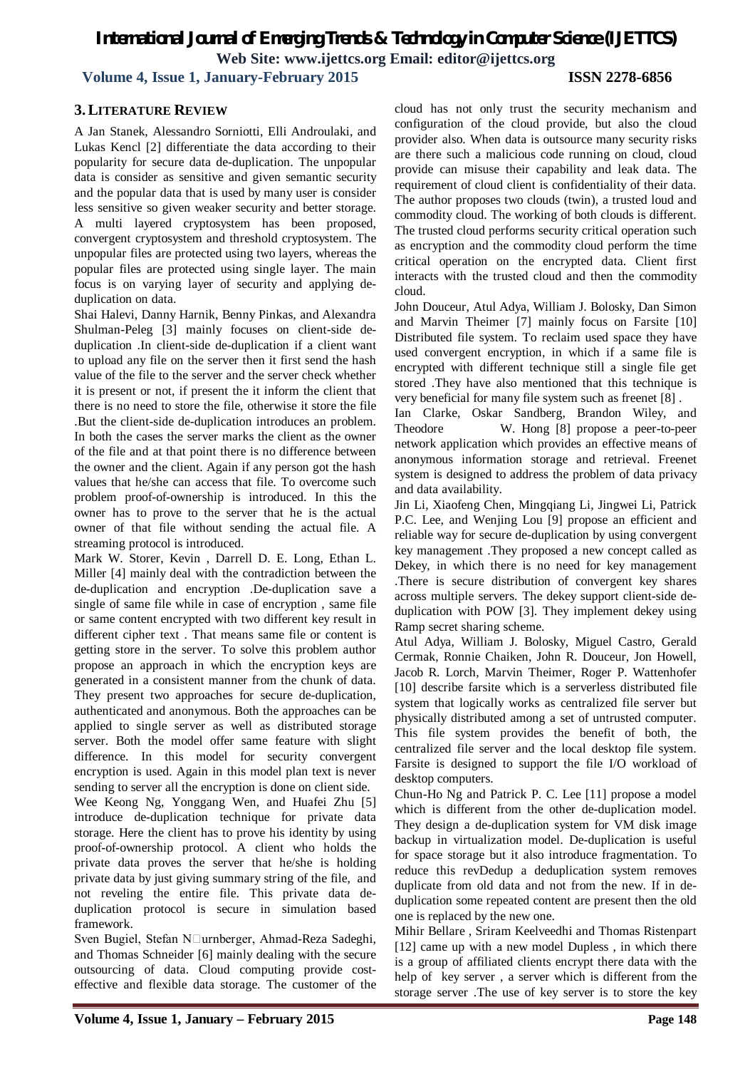**Volume 4, Issue 1, January-February 2015 ISSN 2278-6856**

# **3.LITERATURE REVIEW**

A Jan Stanek, Alessandro Sorniotti, Elli Androulaki, and Lukas Kencl [2] differentiate the data according to their popularity for secure data de-duplication. The unpopular data is consider as sensitive and given semantic security and the popular data that is used by many user is consider less sensitive so given weaker security and better storage. A multi layered cryptosystem has been proposed, convergent cryptosystem and threshold cryptosystem. The unpopular files are protected using two layers, whereas the popular files are protected using single layer. The main focus is on varying layer of security and applying deduplication on data.

Shai Halevi, Danny Harnik, Benny Pinkas, and Alexandra Shulman-Peleg [3] mainly focuses on client-side deduplication .In client-side de-duplication if a client want to upload any file on the server then it first send the hash value of the file to the server and the server check whether it is present or not, if present the it inform the client that there is no need to store the file, otherwise it store the file .But the client-side de-duplication introduces an problem. In both the cases the server marks the client as the owner of the file and at that point there is no difference between the owner and the client. Again if any person got the hash values that he/she can access that file. To overcome such problem proof-of-ownership is introduced. In this the owner has to prove to the server that he is the actual owner of that file without sending the actual file. A streaming protocol is introduced.

Mark W. Storer, Kevin , Darrell D. E. Long, Ethan L. Miller [4] mainly deal with the contradiction between the de-duplication and encryption .De-duplication save a single of same file while in case of encryption , same file or same content encrypted with two different key result in different cipher text . That means same file or content is getting store in the server. To solve this problem author propose an approach in which the encryption keys are generated in a consistent manner from the chunk of data. They present two approaches for secure de-duplication, authenticated and anonymous. Both the approaches can be applied to single server as well as distributed storage server. Both the model offer same feature with slight difference. In this model for security convergent encryption is used. Again in this model plan text is never sending to server all the encryption is done on client side. Wee Keong Ng, Yonggang Wen, and Huafei Zhu [5] introduce de-duplication technique for private data storage. Here the client has to prove his identity by using proof-of-ownership protocol. A client who holds the private data proves the server that he/she is holding

private data by just giving summary string of the file, and not reveling the entire file. This private data deduplication protocol is secure in simulation based framework.

Sven Bugiel, Stefan N□urnberger, Ahmad-Reza Sadeghi, and Thomas Schneider [6] mainly dealing with the secure outsourcing of data. Cloud computing provide costeffective and flexible data storage. The customer of the

cloud has not only trust the security mechanism and configuration of the cloud provide, but also the cloud provider also. When data is outsource many security risks are there such a malicious code running on cloud, cloud provide can misuse their capability and leak data. The requirement of cloud client is confidentiality of their data. The author proposes two clouds (twin), a trusted loud and commodity cloud. The working of both clouds is different. The trusted cloud performs security critical operation such as encryption and the commodity cloud perform the time critical operation on the encrypted data. Client first interacts with the trusted cloud and then the commodity cloud.

John Douceur, Atul Adya, William J. Bolosky, Dan Simon and Marvin Theimer [7] mainly focus on Farsite [10] Distributed file system. To reclaim used space they have used convergent encryption, in which if a same file is encrypted with different technique still a single file get stored .They have also mentioned that this technique is very beneficial for many file system such as freenet [8] .

Ian Clarke, Oskar Sandberg, Brandon Wiley, and Theodore W. Hong [8] propose a peer-to-peer network application which provides an effective means of anonymous information storage and retrieval. Freenet system is designed to address the problem of data privacy and data availability.

Jin Li, Xiaofeng Chen, Mingqiang Li, Jingwei Li, Patrick P.C. Lee, and Wenjing Lou [9] propose an efficient and reliable way for secure de-duplication by using convergent key management .They proposed a new concept called as Dekey, in which there is no need for key management .There is secure distribution of convergent key shares across multiple servers. The dekey support client-side deduplication with POW [3]. They implement dekey using Ramp secret sharing scheme.

Atul Adya, William J. Bolosky, Miguel Castro, Gerald Cermak, Ronnie Chaiken, John R. Douceur, Jon Howell, Jacob R. Lorch, Marvin Theimer, Roger P. Wattenhofer [10] describe farsite which is a serverless distributed file system that logically works as centralized file server but physically distributed among a set of untrusted computer. This file system provides the benefit of both, the centralized file server and the local desktop file system. Farsite is designed to support the file I/O workload of desktop computers.

Chun-Ho Ng and Patrick P. C. Lee [11] propose a model which is different from the other de-duplication model. They design a de-duplication system for VM disk image backup in virtualization model. De-duplication is useful for space storage but it also introduce fragmentation. To reduce this revDedup a deduplication system removes duplicate from old data and not from the new. If in deduplication some repeated content are present then the old one is replaced by the new one.

Mihir Bellare , Sriram Keelveedhi and Thomas Ristenpart [12] came up with a new model Dupless, in which there is a group of affiliated clients encrypt there data with the help of key server , a server which is different from the storage server .The use of key server is to store the key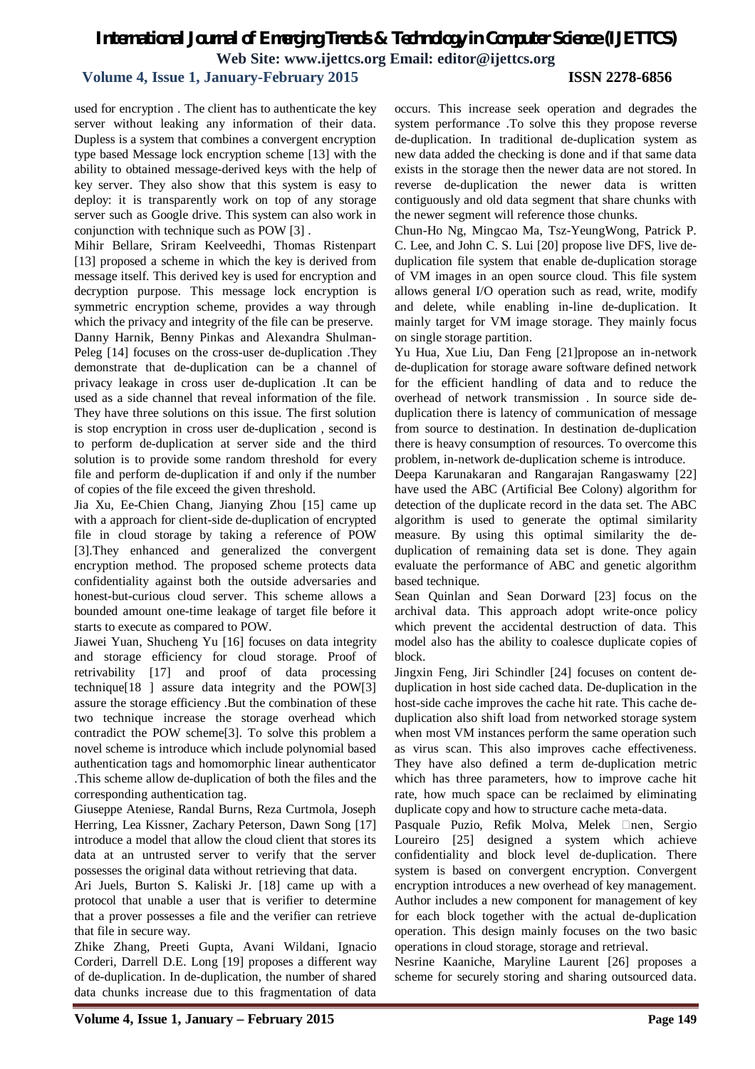# **Volume 4, Issue 1, January-February 2015 ISSN 2278-6856**

used for encryption . The client has to authenticate the key server without leaking any information of their data. Dupless is a system that combines a convergent encryption type based Message lock encryption scheme [13] with the ability to obtained message-derived keys with the help of key server. They also show that this system is easy to deploy: it is transparently work on top of any storage server such as Google drive. This system can also work in conjunction with technique such as POW [3] .

Mihir Bellare, Sriram Keelveedhi, Thomas Ristenpart [13] proposed a scheme in which the key is derived from message itself. This derived key is used for encryption and decryption purpose. This message lock encryption is symmetric encryption scheme, provides a way through which the privacy and integrity of the file can be preserve. Danny Harnik, Benny Pinkas and Alexandra Shulman-Peleg [14] focuses on the cross-user de-duplication .They demonstrate that de-duplication can be a channel of privacy leakage in cross user de-duplication .It can be used as a side channel that reveal information of the file. They have three solutions on this issue. The first solution is stop encryption in cross user de-duplication , second is to perform de-duplication at server side and the third solution is to provide some random threshold for every file and perform de-duplication if and only if the number of copies of the file exceed the given threshold.

Jia Xu, Ee-Chien Chang, Jianying Zhou [15] came up with a approach for client-side de-duplication of encrypted file in cloud storage by taking a reference of POW [3].They enhanced and generalized the convergent encryption method. The proposed scheme protects data confidentiality against both the outside adversaries and honest-but-curious cloud server. This scheme allows a bounded amount one-time leakage of target file before it starts to execute as compared to POW.

Jiawei Yuan, Shucheng Yu [16] focuses on data integrity and storage efficiency for cloud storage. Proof of retrivability [17] and proof of data processing technique[18 ] assure data integrity and the POW[3] assure the storage efficiency .But the combination of these two technique increase the storage overhead which contradict the POW scheme[3]. To solve this problem a novel scheme is introduce which include polynomial based authentication tags and homomorphic linear authenticator .This scheme allow de-duplication of both the files and the corresponding authentication tag.

Giuseppe Ateniese, Randal Burns, Reza Curtmola, Joseph Herring, Lea Kissner, Zachary Peterson, Dawn Song [17] introduce a model that allow the cloud client that stores its data at an untrusted server to verify that the server possesses the original data without retrieving that data.

Ari Juels, Burton S. Kaliski Jr. [18] came up with a protocol that unable a user that is verifier to determine that a prover possesses a file and the verifier can retrieve that file in secure way.

Zhike Zhang, Preeti Gupta, Avani Wildani, Ignacio Corderi, Darrell D.E. Long [19] proposes a different way of de-duplication. In de-duplication, the number of shared data chunks increase due to this fragmentation of data

occurs. This increase seek operation and degrades the system performance .To solve this they propose reverse de-duplication. In traditional de-duplication system as new data added the checking is done and if that same data exists in the storage then the newer data are not stored. In reverse de-duplication the newer data is written contiguously and old data segment that share chunks with the newer segment will reference those chunks.

Chun-Ho Ng, Mingcao Ma, Tsz-YeungWong, Patrick P. C. Lee, and John C. S. Lui [20] propose live DFS, live deduplication file system that enable de-duplication storage of VM images in an open source cloud. This file system allows general I/O operation such as read, write, modify and delete, while enabling in-line de-duplication. It mainly target for VM image storage. They mainly focus on single storage partition.

Yu Hua, Xue Liu, Dan Feng [21]propose an in-network de-duplication for storage aware software defined network for the efficient handling of data and to reduce the overhead of network transmission . In source side deduplication there is latency of communication of message from source to destination. In destination de-duplication there is heavy consumption of resources. To overcome this problem, in-network de-duplication scheme is introduce.

Deepa Karunakaran and Rangarajan Rangaswamy [22] have used the ABC (Artificial Bee Colony) algorithm for detection of the duplicate record in the data set. The ABC algorithm is used to generate the optimal similarity measure. By using this optimal similarity the deduplication of remaining data set is done. They again evaluate the performance of ABC and genetic algorithm based technique.

Sean Quinlan and Sean Dorward [23] focus on the archival data. This approach adopt write-once policy which prevent the accidental destruction of data. This model also has the ability to coalesce duplicate copies of block.

Jingxin Feng, Jiri Schindler [24] focuses on content deduplication in host side cached data. De-duplication in the host-side cache improves the cache hit rate. This cache deduplication also shift load from networked storage system when most VM instances perform the same operation such as virus scan. This also improves cache effectiveness. They have also defined a term de-duplication metric which has three parameters, how to improve cache hit rate, how much space can be reclaimed by eliminating duplicate copy and how to structure cache meta-data.

Pasquale Puzio, Refik Molva, Melek  $\Box$ nen, Sergio Loureiro [25] designed a system which achieve confidentiality and block level de-duplication. There system is based on convergent encryption. Convergent encryption introduces a new overhead of key management. Author includes a new component for management of key for each block together with the actual de-duplication operation. This design mainly focuses on the two basic operations in cloud storage, storage and retrieval.

Nesrine Kaaniche, Maryline Laurent [26] proposes a scheme for securely storing and sharing outsourced data.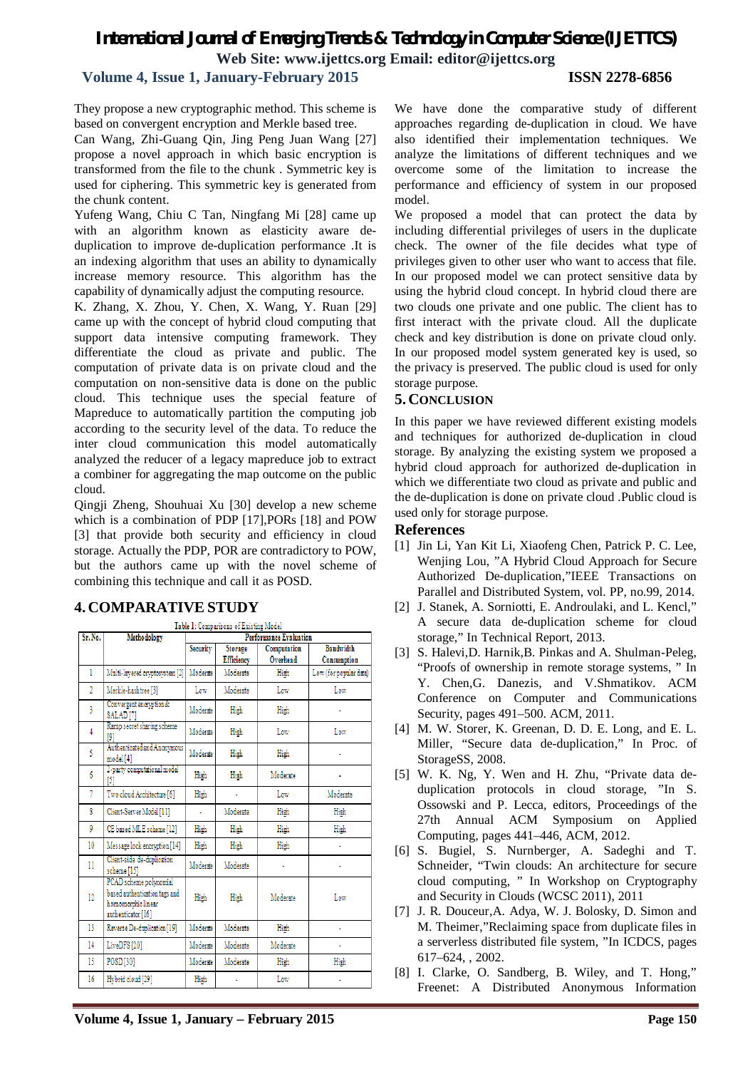# **Volume 4, Issue 1, January-February 2015 ISSN 2278-6856**

They propose a new cryptographic method. This scheme is based on convergent encryption and Merkle based tree.

Can Wang, Zhi-Guang Qin, Jing Peng Juan Wang [27] propose a novel approach in which basic encryption is transformed from the file to the chunk . Symmetric key is used for ciphering. This symmetric key is generated from the chunk content.

Yufeng Wang, Chiu C Tan, Ningfang Mi [28] came up with an algorithm known as elasticity aware deduplication to improve de-duplication performance .It is an indexing algorithm that uses an ability to dynamically increase memory resource. This algorithm has the capability of dynamically adjust the computing resource.

K. Zhang, X. Zhou, Y. Chen, X. Wang, Y. Ruan [29] came up with the concept of hybrid cloud computing that support data intensive computing framework. They differentiate the cloud as private and public. The computation of private data is on private cloud and the computation on non-sensitive data is done on the public cloud. This technique uses the special feature of Mapreduce to automatically partition the computing job according to the security level of the data. To reduce the inter cloud communication this model automatically analyzed the reducer of a legacy mapreduce job to extract a combiner for aggregating the map outcome on the public cloud.

Qingji Zheng, Shouhuai Xu [30] develop a new scheme which is a combination of PDP [17],PORs [18] and POW [3] that provide both security and efficiency in cloud storage. Actually the PDP, POR are contradictory to POW, but the authors came up with the novel scheme of combining this technique and call it as POSD.

| Sr. No.        | Methodology                                                                                         | <b>Performance Evaluation</b> |                                     |                         |                                 |
|----------------|-----------------------------------------------------------------------------------------------------|-------------------------------|-------------------------------------|-------------------------|---------------------------------|
|                |                                                                                                     | <b>Security</b>               | <b>Storage</b><br><b>Efficiency</b> | Computation<br>Overhead | <b>Bandwidth</b><br>Consumption |
| ı              | Multi-layered cryptosystem [2]                                                                      | Moderate                      | Moderate                            | High                    | Low (for popular data)          |
| $\overline{2}$ | Merkle-hashtree [3]                                                                                 | Low                           | Moderate                            | Low                     | Low                             |
| 3              | Convergent encryption &<br>SALAD[7]                                                                 | Moderate                      | High                                | High                    |                                 |
| 4              | Ramp secret sharing scheme<br>191                                                                   | Moderate                      | High                                | Low                     | Low                             |
| 5              | Authenticated and Anonymous<br>model [4]                                                            | Moderate                      | High                                | High                    |                                 |
| 6              | 2-party computational model<br>[5]                                                                  | High                          | High                                | Moderate                |                                 |
| 7              | Two cloud Architecture [6]                                                                          | High                          |                                     | Low                     | Moderate                        |
| 8              | Client-Server Model [11]                                                                            | í,                            | Moderate                            | High                    | High                            |
| 9              | CE based MLE scheme [12]                                                                            | High                          | High                                | High                    | High                            |
| 10             | Message lock encryption [14]                                                                        | High                          | High                                | High                    | ٠                               |
| 11             | Client-side de-duplication<br>scheme [15]                                                           | Moderate                      | Moderate                            |                         |                                 |
| 12             | PCAD scheme polynomial<br>based authentication tags and<br>homomorphic linear<br>authenticator [16] | High                          | High                                | Moderate                | Low                             |
| 13             | Reverse De-duplication [19]                                                                         | Moderate                      | Moderate                            | High                    | ٠                               |
| 14             | LiveDFS [20]                                                                                        | Moderate                      | Moderate                            | Moderate                | ٠                               |
| 15             | POSD [30]                                                                                           | Moderate                      | Moderate                            | High                    | High                            |
| 16             | Hybrid cloud [29]                                                                                   | High                          | ä,                                  | Low                     | ٠                               |

# **4. COMPARATIVE STUDY**

We have done the comparative study of different approaches regarding de-duplication in cloud. We have also identified their implementation techniques. We analyze the limitations of different techniques and we overcome some of the limitation to increase the performance and efficiency of system in our proposed model.

We proposed a model that can protect the data by including differential privileges of users in the duplicate check. The owner of the file decides what type of privileges given to other user who want to access that file. In our proposed model we can protect sensitive data by using the hybrid cloud concept. In hybrid cloud there are two clouds one private and one public. The client has to first interact with the private cloud. All the duplicate check and key distribution is done on private cloud only. In our proposed model system generated key is used, so the privacy is preserved. The public cloud is used for only storage purpose.

# **5. CONCLUSION**

In this paper we have reviewed different existing models and techniques for authorized de-duplication in cloud storage. By analyzing the existing system we proposed a hybrid cloud approach for authorized de-duplication in which we differentiate two cloud as private and public and the de-duplication is done on private cloud .Public cloud is used only for storage purpose.

### **References**

- [1] Jin Li, Yan Kit Li, Xiaofeng Chen, Patrick P. C. Lee, Wenjing Lou, "A Hybrid Cloud Approach for Secure Authorized De-duplication,"IEEE Transactions on Parallel and Distributed System, vol. PP, no.99, 2014.
- [2] J. Stanek, A. Sorniotti, E. Androulaki, and L. Kencl," A secure data de-duplication scheme for cloud storage," In Technical Report, 2013.
- [3] S. Halevi,D. Harnik,B. Pinkas and A. Shulman-Peleg, "Proofs of ownership in remote storage systems, " In Y. Chen,G. Danezis, and V.Shmatikov. ACM Conference on Computer and Communications Security, pages 491–500. ACM, 2011.
- [4] M. W. Storer, K. Greenan, D. D. E. Long, and E. L. Miller, "Secure data de-duplication," In Proc. of StorageSS, 2008.
- [5] W. K. Ng, Y. Wen and H. Zhu, "Private data deduplication protocols in cloud storage, "In S. Ossowski and P. Lecca, editors, Proceedings of the 27th Annual ACM Symposium on Applied Computing, pages 441–446, ACM, 2012.
- [6] S. Bugiel, S. Nurnberger, A. Sadeghi and T. Schneider, "Twin clouds: An architecture for secure cloud computing, " In Workshop on Cryptography and Security in Clouds (WCSC 2011), 2011
- [7] J. R. Douceur,A. Adya, W. J. Bolosky, D. Simon and M. Theimer,"Reclaiming space from duplicate files in a serverless distributed file system, "In ICDCS, pages 617–624, , 2002.
- [8] I. Clarke, O. Sandberg, B. Wiley, and T. Hong," Freenet: A Distributed Anonymous Information